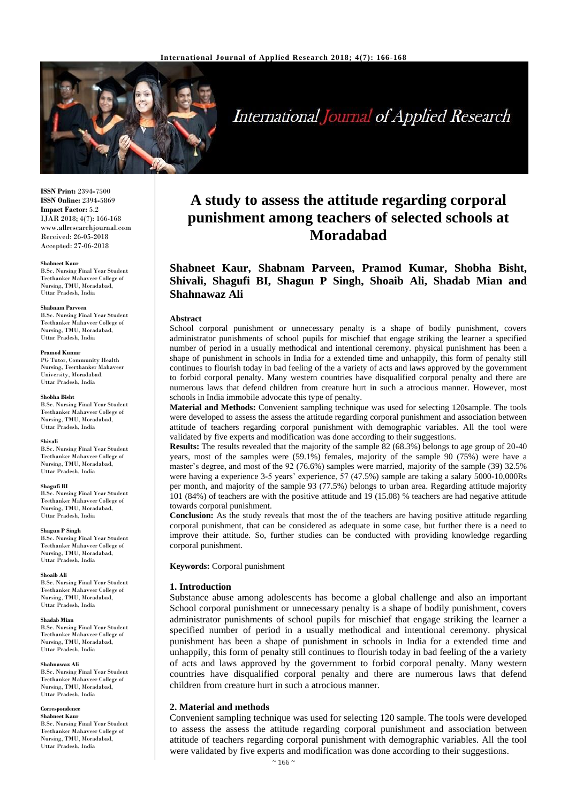

**International Journal of Applied Research** 

**ISSN Print:** 2394**-**7500 **ISSN Online:** 2394**-**5869 **Impact Factor:** 5.2 IJAR 2018; 4(7): 166-168 www.allresearchjournal.com Received: 26-05-2018 Accepted: 27-06-2018

#### **Shabneet Kaur**

B.Sc. Nursing Final Year Student Teethanker Mahaveer College of Nursing, TMU, Moradabad, Uttar Pradesh, India

### **Shabnam Parveen**

B.Sc. Nursing Final Year Student Teethanker Mahaveer College of Nursing, TMU, Moradabad, Uttar Pradesh, India

### **Pramod Kumar**

PG Tutor, Community Health Nursing, Teerthanker Mahaveer University, Moradabad. Uttar Pradesh, India

#### **Shobha Bisht**

B.Sc. Nursing Final Year Student Teethanker Mahaveer College of Nursing, TMU, Moradabad, Uttar Pradesh, India

### **Shivali**

B.Sc. Nursing Final Year Student Teethanker Mahaveer College of Nursing, TMU, Moradabad Uttar Pradesh, India

#### **Shagufi BI**

B.Sc. Nursing Final Year Student Teethanker Mahaveer College of Nursing, TMU, Moradabad, Uttar Pradesh, India

#### **Shagun P Singh**

B.Sc. Nursing Final Year Student Teethanker Mahaveer College of Nursing, TMU, Moradabad, Uttar Pradesh, India

#### **Shoaib Ali**

B.Sc. Nursing Final Year Student Teethanker Mahaveer College of Nursing, TMU, Moradabad, Uttar Pradesh, India

#### **Shadab Mian**

B.Sc. Nursing Final Year Student Teethanker Mahaveer College of Nursing, TMU, Moradabad, Uttar Pradesh, India

#### **Shahnawaz Ali**

B.Sc. Nursing Final Year Student Teethanker Mahaveer College of Nursing, TMU, Moradabad, Uttar Pradesh, India

#### **Correspondence Shabneet Kaur**

B.Sc. Nursing Final Year Student Teethanker Mahaveer College of Nursing, TMU, Moradabad, Uttar Pradesh, India

# **A study to assess the attitude regarding corporal punishment among teachers of selected schools at Moradabad**

**Shabneet Kaur, Shabnam Parveen, Pramod Kumar, Shobha Bisht, Shivali, Shagufi BI, Shagun P Singh, Shoaib Ali, Shadab Mian and Shahnawaz Ali**

### **Abstract**

School corporal punishment or unnecessary penalty is a shape of bodily punishment, covers administrator punishments of school pupils for mischief that engage striking the learner a specified number of period in a usually methodical and intentional ceremony. physical punishment has been a shape of punishment in schools in India for a extended time and unhappily, this form of penalty still continues to flourish today in bad feeling of the a variety of acts and laws approved by the government to forbid corporal penalty. Many western countries have disqualified corporal penalty and there are numerous laws that defend children from creature hurt in such a atrocious manner. However, most schools in India immobile advocate this type of penalty.

**Material and Methods:** Convenient sampling technique was used for selecting 120sample. The tools were developed to assess the assess the attitude regarding corporal punishment and association between attitude of teachers regarding corporal punishment with demographic variables. All the tool were validated by five experts and modification was done according to their suggestions.

**Results:** The results revealed that the majority of the sample 82 (68.3%) belongs to age group of 20**-**40 years, most of the samples were (59.1%) females, majority of the sample 90 (75%) were have a master's degree, and most of the 92 (76.6%) samples were married, majority of the sample (39) 32.5% were having a experience 3**-**5 years' experience, 57 (47.5%) sample are taking a salary 5000**-**10,000Rs per month, and majority of the sample 93 (77.5%) belongs to urban area. Regarding attitude majority 101 (84%) of teachers are with the positive attitude and 19 (15.08) % teachers are had negative attitude towards corporal punishment.

**Conclusion:** As the study reveals that most the of the teachers are having positive attitude regarding corporal punishment, that can be considered as adequate in some case, but further there is a need to improve their attitude. So, further studies can be conducted with providing knowledge regarding corporal punishment.

**Keywords:** Corporal punishment

### **1. Introduction**

Substance abuse among adolescents has become a global challenge and also an important School corporal punishment or unnecessary penalty is a shape of bodily punishment, covers administrator punishments of school pupils for mischief that engage striking the learner a specified number of period in a usually methodical and intentional ceremony. physical punishment has been a shape of punishment in schools in India for a extended time and unhappily, this form of penalty still continues to flourish today in bad feeling of the a variety of acts and laws approved by the government to forbid corporal penalty. Many western countries have disqualified corporal penalty and there are numerous laws that defend children from creature hurt in such a atrocious manner.

### **2. Material and methods**

Convenient sampling technique was used for selecting 120 sample. The tools were developed to assess the assess the attitude regarding corporal punishment and association between attitude of teachers regarding corporal punishment with demographic variables. All the tool were validated by five experts and modification was done according to their suggestions.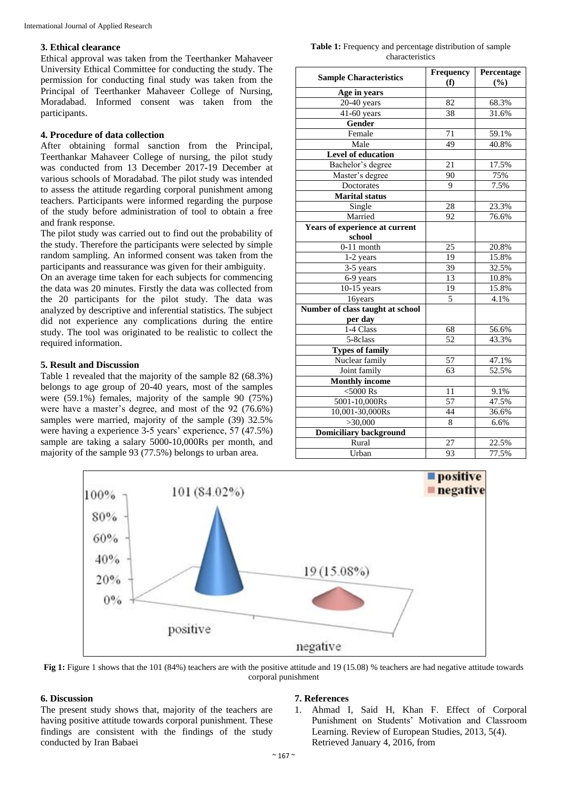### **3. Ethical clearance**

Ethical approval was taken from the Teerthanker Mahaveer University Ethical Committee for conducting the study. The permission for conducting final study was taken from the Principal of Teerthanker Mahaveer College of Nursing, Moradabad. Informed consent was taken from the participants.

# **4. Procedure of data collection**

After obtaining formal sanction from the Principal, Teerthankar Mahaveer College of nursing, the pilot study was conducted from 13 December 2017**-**19 December at various schools of Moradabad. The pilot study was intended to assess the attitude regarding corporal punishment among teachers. Participants were informed regarding the purpose of the study before administration of tool to obtain a free and frank response.

The pilot study was carried out to find out the probability of the study. Therefore the participants were selected by simple random sampling. An informed consent was taken from the participants and reassurance was given for their ambiguity.

On an average time taken for each subjects for commencing the data was 20 minutes. Firstly the data was collected from the 20 participants for the pilot study. The data was analyzed by descriptive and inferential statistics. The subject did not experience any complications during the entire study. The tool was originated to be realistic to collect the required information.

## **5. Result and Discussion**

Table 1 revealed that the majority of the sample 82 (68.3%) belongs to age group of 20**-**40 years, most of the samples were (59.1%) females, majority of the sample 90 (75%) were have a master's degree, and most of the 92 (76.6%) samples were married, majority of the sample (39) 32.5% were having a experience 3**-**5 years' experience, 57 (47.5%) sample are taking a salary 5000**-**10,000Rs per month, and majority of the sample 93 (77.5%) belongs to urban area.

Table 1: Frequency and percentage distribution of sample characteristics

| <b>Sample Characteristics</b>    | Frequency       | Percentage |
|----------------------------------|-----------------|------------|
|                                  | (f)             | (%)        |
| Age in years                     |                 |            |
| $20-40$ years                    | 82              | 68.3%      |
| 41-60 years                      | 38              | 31.6%      |
| <b>Gender</b>                    |                 |            |
| Female                           | 71              | 59.1%      |
| Male                             | 49              | 40.8%      |
| Level of education               |                 |            |
| Bachelor's degree                | 21              | 17.5%      |
| Master's degree                  | 90              | 75%        |
| Doctorates                       | 9               | 7.5%       |
| <b>Marital status</b>            |                 |            |
| Single                           | 28              | 23.3%      |
| Married                          | 92              | 76.6%      |
| Years of experience at current   |                 |            |
| school                           |                 |            |
| $0-11$ month                     | 25              | 20.8%      |
| 1-2 years                        | 19              | 15.8%      |
| 3-5 years                        | 39              | 32.5%      |
| 6-9 years                        | 13              | 10.8%      |
| $10-15$ years                    | 19              | 15.8%      |
| 16years                          | 5               | 4.1%       |
| Number of class taught at school |                 |            |
| per day                          |                 |            |
| 1-4 Class                        | 68              | 56.6%      |
| $\overline{5}$ -8class           | 52              | 43.3%      |
| <b>Types of family</b>           |                 |            |
| Nuclear family                   | $\overline{57}$ | 47.1%      |
| Joint family                     | 63              | 52.5%      |
| <b>Monthly income</b>            |                 |            |
| $<$ 5000 $\,$ Rs                 | 11              | 9.1%       |
| 5001-10,000Rs                    | 57              | 47.5%      |
| 10,001-30,000Rs                  | 44              | 36.6%      |
| >30,000                          | 8               | 6.6%       |
| <b>Domiciliary background</b>    |                 |            |
| Rural                            | 27              | 22.5%      |
| Urban                            | 93              | 77.5%      |



**Fig 1:** Figure 1 shows that the 101 (84%) teachers are with the positive attitude and 19 (15.08) % teachers are had negative attitude towards corporal punishment

# **6. Discussion**

The present study shows that, majority of the teachers are having positive attitude towards corporal punishment. These findings are consistent with the findings of the study conducted by Iran Babaei

### **7. References**

1. Ahmad I, Said H, Khan F. Effect of Corporal Punishment on Students' Motivation and Classroom Learning. Review of European Studies, 2013, 5(4). Retrieved January 4, 2016, from